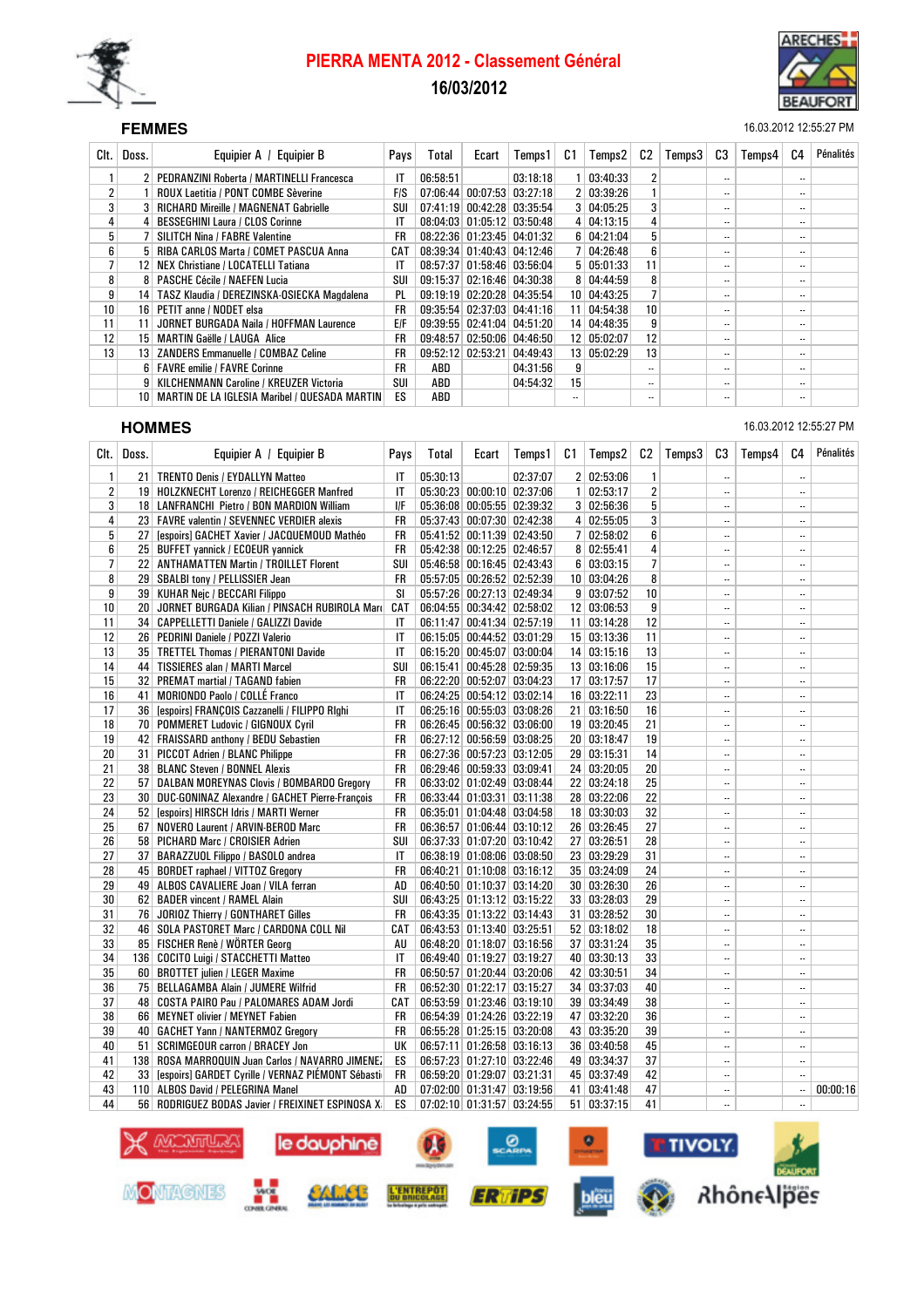

# PIERRA MENTA 2012 - Classement Général 16/03/2012



#### SEF **FEMMES** 16.03.2012 12:55:27 PM

| Clt.            | Doss.           | Equipier A / Equipier B                              | Pays       | Total    | Ecart             | Temps1                                 | C1              | Temps2        | C2                       | Temps3 | C3                       | Temps4 | C4                       | Pénalités |
|-----------------|-----------------|------------------------------------------------------|------------|----------|-------------------|----------------------------------------|-----------------|---------------|--------------------------|--------|--------------------------|--------|--------------------------|-----------|
|                 |                 | PEDRANZINI Roberta / MARTINELLI Francesca            | IT         | 06:58:51 |                   | 03:18:18                               |                 | 03:40:33      | 2                        |        | $\overline{\phantom{a}}$ |        | $\overline{\phantom{a}}$ |           |
| 2               |                 | <b>ROUX Laetitia / PONT COMBE Sèverine</b>           | <b>FIS</b> | 07:06:44 |                   | $\mid$ 00:07:53 $\mid$ 03:27:18 $\mid$ |                 | 2   03:39:26  |                          |        | $\overline{\phantom{a}}$ |        | $\overline{\phantom{a}}$ |           |
| 3               |                 | <b>RICHARD Mireille / MAGNENAT Gabrielle</b>         | SUI        | 07:41:19 |                   | $00:42:28$ 03:35:54                    |                 | 3   04:05:25  | 3                        |        | $\overline{\phantom{a}}$ |        | $\overline{\phantom{a}}$ |           |
| 4               |                 | <b>BESSEGHINI Laura / CLOS Corinne</b>               | IT         |          |                   | 08:04:03 01:05:12 03:50:48             |                 | 4   04:13:15  | 4                        |        | $\cdot$                  |        | $\overline{\phantom{a}}$ |           |
| 5 <sup>1</sup>  |                 | <b>SILITCH Nina / FABRE Valentine</b>                | FR         |          |                   | 08:22:36 01:23:45 04:01:32             |                 | 6   04:21:04  | 5                        |        | $\overline{\phantom{a}}$ |        | $\overline{\phantom{a}}$ |           |
| 6               |                 | <b>RIBA CARLOS Marta / COMET PASCUA Anna</b>         | CAT        |          |                   | 08:39:34 01:40:43 04:12:46             |                 | 04:26:48      | 6                        |        | $\overline{\phantom{a}}$ |        | $\overline{\phantom{a}}$ |           |
| 7               | 12 <sub>1</sub> | NEX Christiane / LOCATELLI Tatiana                   | IT         |          |                   | 08:57:37 01:58:46 03:56:04             |                 | 5   05:01:33  | 11                       |        | $\overline{\phantom{a}}$ |        | $\overline{\phantom{a}}$ |           |
| 8               | 8               | <b>PASCHE Cécile / NAEFEN Lucia</b>                  | SUI        | 09:15:37 |                   | 02:16:46 04:30:38                      |                 | 8   04:44:59  | 8                        |        | $\cdot$                  |        | $\overline{\phantom{a}}$ |           |
| 9               | 14              | TASZ Klaudia / DEREZINSKA-OSIECKA Magdalena          | PL         |          |                   | 09:19:19 02:20:28 04:35:54             | 10 <sup>1</sup> | 04:43:25      |                          |        | $\cdot$                  |        |                          |           |
| 10              | 16              | PETIT anne / NODET elsa                              | FR         |          |                   | 09:35:54 02:37:03 04:41:16             | 11              | 04:54:38      | 10 <sup>1</sup>          |        | $\cdot$                  |        | $\overline{\phantom{a}}$ |           |
| 11              | 11              | JORNET BURGADA Naila / HOFFMAN Laurence              | <b>E/F</b> |          |                   | 09:39:55 02:41:04 04:51:20             |                 | 14 04:48:35   | 9                        |        | $\overline{\phantom{a}}$ |        | $\overline{\phantom{a}}$ |           |
| 12 <sup>2</sup> | 15 <sup>1</sup> | <b>MARTIN Gaëlle / LAUGA Alice</b>                   | FR         | 09:48:57 |                   | $02:50:06$ 04:46:50                    |                 | 12 05:02:07   | $12 \overline{ }$        |        | $\overline{\phantom{a}}$ |        | $\overline{\phantom{a}}$ |           |
| 13              | 13 <sup>1</sup> | <b>ZANDERS Emmanuelle / COMBAZ Celine</b>            | <b>FR</b>  | 09:52:12 | 02:53:21 04:49:43 |                                        |                 | 13   05:02:29 | 13                       |        | $\overline{\phantom{a}}$ |        | $\overline{\phantom{a}}$ |           |
|                 |                 | 6   FAVRE emilie / FAVRE Corinne                     | <b>FR</b>  | ABD      |                   | 04:31:56                               | 9               |               | $\ddotsc$                |        | $\overline{\phantom{a}}$ |        | $\overline{\phantom{a}}$ |           |
|                 | 9               | KILCHENMANN Caroline / KREUZER Victoria              | SUI        | ABD      |                   | 04:54:32                               | 15              |               | $\overline{\phantom{a}}$ |        | $\overline{\phantom{a}}$ |        | $\overline{\phantom{a}}$ |           |
|                 | 10              | <b>MARTIN DE LA IGLESIA Maribel / QUESADA MARTIN</b> | ES         | ABD      |                   |                                        |                 |               | $\ddotsc$                |        | $\overline{\phantom{a}}$ |        | $\overline{\phantom{a}}$ |           |

#### Clt. | Doss. | Equipier A / Equipier B | Pays | Total | Ecart | Temps1 | C1 | Temps2 | C2 | Temps3 | C3 | Temps4 | C4 | Pénalités 1 21 TRENTO Denis / EYDALLYN Matteo IT 05:30:13 02:37:07 2 02:53:06 1 2 19 HOLZKNECHT Lorenzo / REICHEGGER Manfred IT 05:30:23 00:00:10 02:37:06 1 02:53:17 2 -- - - - - - - - - - -<br>3 18 LANFRANCHI Pietro / BON MARDION William IF 05:36:08 00:05:55 02:39:32 3 02:56:36 5 - - - - - - - - - - -3 18 LANFRANCHI Pietro / BON MARDION William I/F 05:36:08 00:05:55 02:39:32 3 02:56:36 5 -- -- 4 23 FAVRE valentin / SEVENNEC VERDIER alexis FR 05:37:43 00:07:30 02:42:38 4 02:55:05 3 - - - - - - - - - - -5 27 [espoirs] GACHET Xavier / JACQUEMOUD Mathéo FR 05:41:52 00:11:39 02:43:50 7 02:58:02 6 -- -- 6 25 BUFFET yannick / ECOEUR yannick FR 05:42:38 00:12:25 02:46:57 8 02:55:41 4 -- -- 7 22 ANTHAMATTEN Martin / TROILLET Florent SUI 05:46:58 00:16:45 02:43:43 6 03:03:15 7 -- -8 29 SBALBI tony / PELLISSIER Jean FR 05:57:05 00:26:52 02:52:39 10 03:04:26 8 -- - - - - - - - - - - - - - -<br>9 39 KUHAR Neic / BECCARI Filippo SI 05:57:26 00:27:13 02:49:34 9 03:07:52 10 - - - - - - - - - - - - - - - -9 39 KUHAR Nejc / BECCARI Filippo SI 05:57:26 00:27:13 02:49:34 9 03:07:52 10 -- -- 10 20 JORNET BURGADA Kilian / PINSACH RUBIROLA Mari CAT | 06:04:55 | 00:34:42 | 02:58:02 | 12 | 03:06:53 | 9 | -- | 11 34 CAPPELLETTI Daniele / GALIZZI Davide IT 06:11:47 00:41:34 02:57:19 11 03:14:28 12 -- - - - - - - - - - -<br>12 26 PEDRINI Daniele / POZZI Valerio IT 06:15:05 00:44:52 03:01:29 15 03:13:36 11 - - - - - - - - - - - - -12 26 PEDRINI Daniele / POZZI Valerio IT 06:15:05 00:44:52 03:01:29 15 03:13:36 11 - -13 35 TRETTEL Thomas / PIERANTONI Davide IT 06:15:20 00:45:07 03:00:04 14 03:15:16 13 -- -- 14 44 TISSIERES alan / MARTI Marcel SUI 06:15:41 00:45:28 02:59:35 13 03:16:06 15 -- -- -- -- -- -- -- -- -- -15 32 PREMAT martial / TAGAND fabien FR 06:22:20 00:52:07 03:04:23 17 03:17:57 17 -- -- 16 41 MORIONDO Paolo / COLLÉ Franco IT | 06:24:25 00:54:12 03:02:14 | 16 | 03:22:11 | 23 | | | | | | | | | | | 17 36 [espoirs] FRANÇOIS Cazzanelli / FILIPPO RIghi IT 06:25:16 00:55:03 03:08:26 21 03:16:50 16 -- - - - - -18 70 POMMERET Ludovic / GIGNOUX Cyril FR 06:26:45 00:56:32 03:06:00 19 03:20:45 21 - - - -19 42 FRAISSARD anthony / BEDU Sebastien FR 06:27:12 00:56:59 03:08:25 20 03:18:47 19 -- - - - - - - - - - - -<br>20 31 PICCOT Adrien / BLANC Philippe FR 06:27:36 00:57:23 03:12:05 29 03:15:31 14 - - - - - - -20 31 PICCOT Adrien / BLANC Philippe FR 06:27:36 00:57:23 03:12:05 29 03:15:31 14 -- -21 38 BLANC Steven / BONNEL Alexis FR 06:29:46 00:59:33 03:09:41 24 03:20:05 20 -- - - - - - - - - - - - - - -22 57 DALBAN MOREYNAS Clovis / BOMBARDO Gregory FR 06:33:02 01:02:49 03:08:44 22 03:24:18 25 -- - - - - - - -23 30 DUC-GONINAZ Alexandre / GACHET Pierre-François FR 06:33:44 01:03:31 03:11:38 28 03:22:06 22 -- -- 24 52 [espoirs] HIRSCH Idris / MARTI Werner FR 06:35:01 01:04:48 03:04:58 18 03:30:03 32 -- ------------------<br>25 67 NOVERO Laurent / ARVIN-BEROD Marc FR 06:36:57 01:06:44 03:10:12 26 03:26:45 27 ------------------------25 NOVERO Laurent / ARVIN-BEROD Marc FR 06:36:57 01:06:44 03:10:12 26 03:26:45 27 ----------------------------<br>1258 PICHARD Marc / CROISIER Adrien SUI 06:37:33 01:07:20 03:10:42 27 03:26:51 28 ---------------------------26 58 PICHARD Marc / CROISIER Adrien SUI 06:37:33 01:07:20 03:10:42 27 03:26:51 28 -- - -27 37 BARAZZUOL Filippo / BASOLO andrea IT 06:38:19 01:08:06 03:08:50 23 03:29:29 31 - - -28 45 BORDET raphael / VITTOZ Gregory FR 06:40:21 01:10:08 03:16:12 35 03:24:09 24 -- - -29 49 ALBOS CAVALIERE Joan / VILA ferran AD 106:40:50 01:10:37 03:14:20 30 03:26:30 26 -- -- -- -- -- -- -- --30 62 BADER vincent / RAMEL Alain SUI 06:43:25 01:13:12 03:15:22 33 03:28:03 29 -- - - - - - - - - - - - - - -31 76 JORIOZ Thierry / GONTHARET Gilles FR 06:43:35 01:13:22 03:14:43 31 03:28:52 30 -- --32 46 SOLA PASTORET Marc / CARDONA COLL Nil CAT 06:43:53 01:13:40 03:25:51 52 03:18:02 18 -- -- 33 85 FISCHER Renè / WÖRTER Georg AU 06:48:20 01:18:07 03:16:56 37 03:31:24 35 -- -- 34 136 COCITO Luigi / STACCHETTI Matteo IT 06:49:40 01:19:27 03:19:27 40 03:30:13 33 -- --35 60 BROTTET julien / LEGER Maxime FR 06:50:57 01:20:44 03:20:06 42 03:30:51 34 -- - -36 75 BELLAGAMBA Alain / JUMERE Wilfrid FR 06:52:30 01:22:17 03:15:27 34 03:37:03 40 - - - -37 48 COSTA PAIRO Pau / PALOMARES ADAM Jordi CAT 06:53:59 01:23:46 03:19:10 39 03:34:49 38 -- - - - - $38$  66 MEYNET olivier / MEYNET Fabien FR 06:54:39 01:24:26 03:22:20 47 03:32:20  $36$   $-1$   $-$ 39 40 GACHET Yann / NANTERMOZ Gregory FR 06:55:28 01:25:15 03:20:08 43 03:35:20 39 -- - - - - - - - - - - - -<br>30 51 SCRIMGEOUR carron / BRACEY Jon UK 06:57:11 01:26:58 03:16:13 36 03:40:58 45 51 SCRIMGEOUR carron / BRACEY Jon 41 138 ROSA MARROQUIN Juan Carlos / NAVARRO JIMENEZ ES 06:57:23 01:27:10 03:22:46 49 03:34:37 37 -- - - - - -<br>42 33 [espoirs] GARDET Cyrille / VERNAZ PIÉMONT Sébasti FR 06:59:20 01:29:07 03:21:31 45 03:37:49 42 - - - -33 [espoirs] GARDET Cyrille / VERNAZ PIÉMONT Sébasti FR 06:59:20 01:29:07 03:21:31 45 03:37:49 42 --43 110 ALBOS David / PELEGRINA Manel 4D 07:02:00 01:31:47 03:19:56 41 03:41:48 47 -- - 00:00:16 44 56 RODRIGUEZ BODAS Javier / FREIXINET ESPINOSA X ES 07:02:10 01:31:57 03:24:55 51 03:37:15 41



**HOMMES** 16.03.2012 12:55:27 PM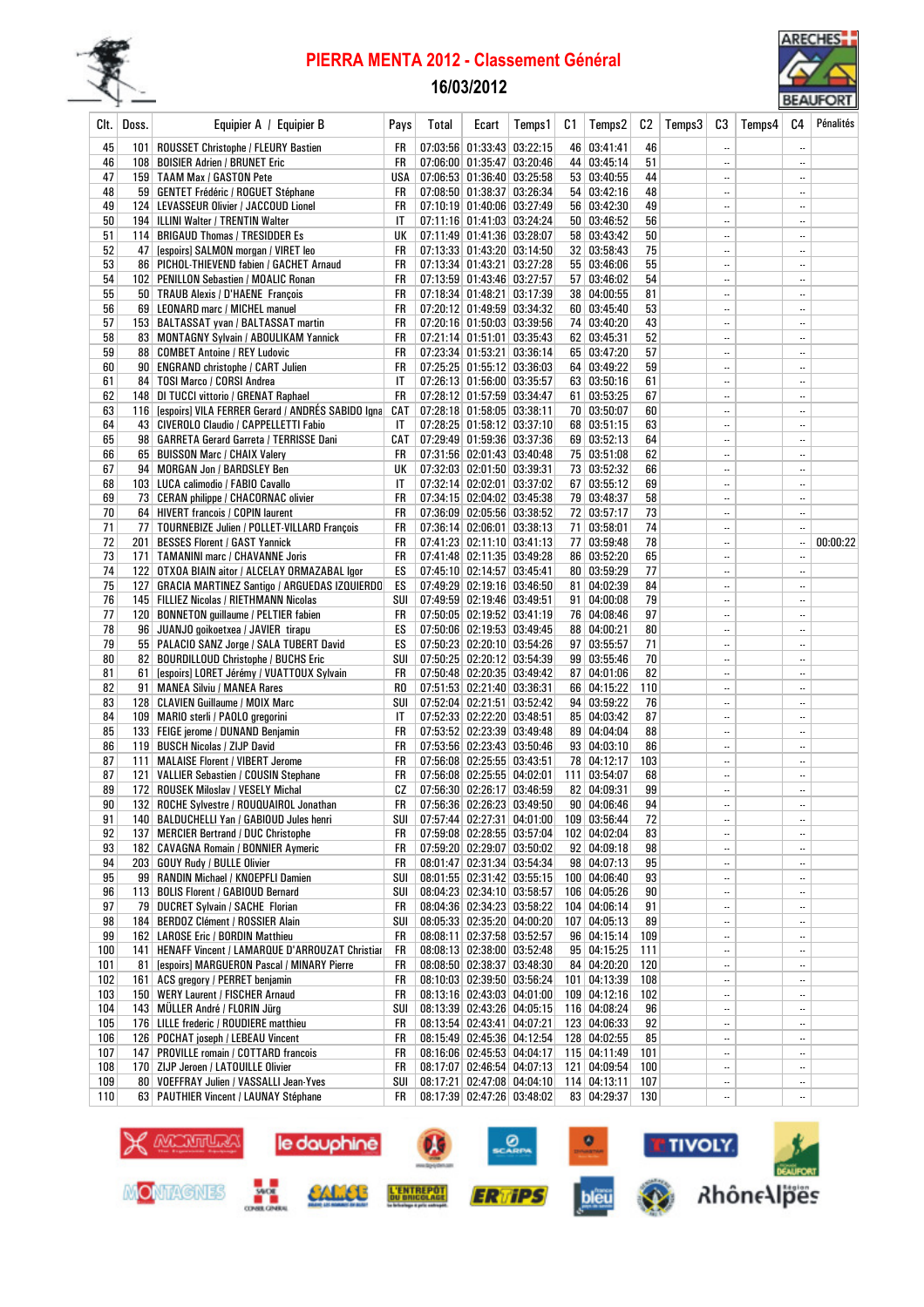

### PIERRA MENTA 2012 - Classement Général

# 16/03/2012



|            |       |                                                                                        |           |       |                                                          |         |     |                              |           |        |                                       |        |                          | <b>PENNI ONI</b> |
|------------|-------|----------------------------------------------------------------------------------------|-----------|-------|----------------------------------------------------------|---------|-----|------------------------------|-----------|--------|---------------------------------------|--------|--------------------------|------------------|
| Clt.       | Doss. | Equipier A / Equipier B                                                                | Pays      | Total | Ecart                                                    | Temps 1 | C1  | Temps2                       | C2        | Temps3 | C3                                    | Temps4 | C4                       | Pénalités        |
| 45         |       | 101   ROUSSET Christophe / FLEURY Bastien                                              | FR        |       | 07:03:56 01:33:43 03:22:15                               |         |     | 46 03:41:41                  | 46        |        |                                       |        | $\overline{\phantom{a}}$ |                  |
| 46         |       | 108   BOISIER Adrien / BRUNET Eric                                                     | FR        |       | 07:06:00 01:35:47 03:20:46                               |         |     | 44 03:45:14                  | 51        |        |                                       |        | $\ldots$                 |                  |
| 47         |       | 159 TAAM Max / GASTON Pete                                                             | USA       |       | 07:06:53 01:36:40 03:25:58                               |         |     | 53 03:40:55                  | 44        |        | $\ddotsc$                             |        |                          |                  |
| 48         |       | 59   GENTET Frédéric / ROGUET Stéphane                                                 | FR        |       | 07:08:50 01:38:37 03:26:34                               |         |     | 54 03:42:16                  | 48        |        | $\overline{\phantom{a}}$              |        | $\ddotsc$                |                  |
| 49         |       | 124   LEVASSEUR Olivier / JACCOUD Lionel                                               | FR        |       | 07:10:19 01:40:06 03:27:49                               |         |     | 56 03:42:30                  | 49        |        | $\ddotsc$                             |        |                          |                  |
| 50         |       | 194   ILLINI Walter / TRENTIN Walter                                                   | IT        |       | 07:11:16 01:41:03 03:24:24                               |         |     | 50 03:46:52                  | 56        |        | $\ddotsc$                             |        | $\ldots$                 |                  |
| 51         |       | 114   BRIGAUD Thomas / TRESIDDER Es                                                    | UK        |       | 07:11:49 01:41:36 03:28:07                               |         |     | 58 03:43:42                  | 50        |        |                                       |        | $\ddotsc$                |                  |
| 52         | 47    | [espoirs] SALMON morgan / VIRET leo                                                    | FR        |       | 07:13:33 01:43:20 03:14:50                               |         |     | 32   03:58:43                | 75        |        |                                       |        | $\ddotsc$                |                  |
| 53         |       | 86 PICHOL-THIEVEND fabien / GACHET Arnaud                                              | FR        |       | 07:13:34 01:43:21 03:27:28                               |         |     | 55 03:46:06                  | 55        |        |                                       |        | $\ddotsc$                |                  |
| 54<br>55   |       | 102 PENILLON Sebastien / MOALIC Ronan<br>50   TRAUB Alexis / D'HAENE François          | FR<br>FR  |       | 07:13:59 01:43:46 03:27:57<br>07:18:34 01:48:21 03:17:39 |         |     | 57   03:46:02<br>38 04:00:55 | 54<br>81  |        | $\ldots$<br>$\ddotsc$                 |        | <br>                     |                  |
| 56         |       | 69   LEONARD marc / MICHEL manuel                                                      | FR        |       | 07:20:12 01:49:59 03:34:32                               |         |     | 60 03:45:40                  | 53        |        | $\ddotsc$                             |        |                          |                  |
| 57         |       | 153 BALTASSAT yvan / BALTASSAT martin                                                  | FR        |       | 07:20:16 01:50:03 03:39:56                               |         |     | 74 03:40:20                  | 43        |        |                                       |        | $\ddotsc$                |                  |
| 58         |       | 83 MONTAGNY Sylvain / ABOULIKAM Yannick                                                | FR        |       | 07:21:14 01:51:01 03:35:43                               |         |     | 62 03:45:31                  | 52        |        |                                       |        | $\ldots$                 |                  |
| 59         |       | 88   COMBET Antoine / REY Ludovic                                                      | FR        |       | 07:23:34 01:53:21 03:36:14                               |         |     | 65 03:47:20                  | 57        |        | $\ddotsc$                             |        | $\ddotsc$                |                  |
| 60         |       | 90   ENGRAND christophe / CART Julien                                                  | FR        |       | 07:25:25 01:55:12 03:36:03                               |         |     | 64 03:49:22                  | 59        |        | $\ddotsc$                             |        | $\ldots$                 |                  |
| 61         |       | 84   TOSI Marco / CORSI Andrea                                                         | IT        |       | 07:26:13 01:56:00 03:35:57                               |         |     | 63   03:50:16                | 61        |        | $\ddotsc$                             |        | $\ldots$                 |                  |
| 62         |       | 148 DI TUCCI vittorio / GRENAT Raphael                                                 | FR        |       | 07:28:12 01:57:59 03:34:47                               |         |     | 61 03:53:25                  | 67        |        | $\ddotsc$                             |        |                          |                  |
| 63         |       | 116 [espoirs] VILA FERRER Gerard / ANDRES SABIDO Igna                                  | CAT       |       | 07:28:18 01:58:05 03:38:11                               |         |     | 70 03:50:07                  | 60        |        | $\ddotsc$                             |        |                          |                  |
| 64         |       | 43 CIVEROLO Claudio / CAPPELLETTI Fabio                                                | IT        |       | 07:28:25 01:58:12 03:37:10                               |         |     | 68 03:51:15                  | 63        |        | $\ldots$                              |        | $\ddotsc$                |                  |
| 65         |       | 98   GARRETA Gerard Garreta / TERRISSE Dani                                            | CAT       |       | 07:29:49 01:59:36 03:37:36                               |         |     | 69 03:52:13                  | 64        |        | <br>$\ddotsc$                         |        | $\ddotsc$                |                  |
| 66<br>67   |       | 65 BUISSON Marc / CHAIX Valery<br>94 MORGAN Jon / BARDSLEY Ben                         | FR<br>UK  |       | 07:31:56 02:01:43 03:40:48<br>07:32:03 02:01:50 03:39:31 |         |     | 75 03:51:08<br>73 03:52:32   | 62<br>66  |        | $\ddotsc$                             |        | $\ddotsc$<br>$\ddotsc$   |                  |
| 68         |       | 103 LUCA calimodio / FABIO Cavallo                                                     | IT        |       | 07:32:14 02:02:01 03:37:02                               |         |     | 67   03:55:12                | 69        |        |                                       |        | $\ddotsc$                |                  |
| 69         |       | 73   CERAN philippe / CHACORNAC olivier                                                | FR        |       | 07:34:15 02:04:02 03:45:38                               |         |     | 79 03:48:37                  | 58        |        | $\ddotsc$                             |        | $\ddotsc$                |                  |
| 70         |       | 64 HIVERT francois / COPIN laurent                                                     | FR        |       | 07:36:09 02:05:56 03:38:52                               |         |     | 72 03:57:17                  | 73        |        | $\ddotsc$                             |        |                          |                  |
| 71         |       | 77   TOURNEBIZE Julien / POLLET-VILLARD François                                       | FR        |       | 07:36:14 02:06:01 03:38:13                               |         | 71  | 03:58:01                     | 74        |        | $\ldots$                              |        | $\ldots$                 |                  |
| 72         | 201   | <b>BESSES Florent / GAST Yannick</b>                                                   | FR        |       | 07:41:23 02:11:10 03:41:13                               |         |     | 77 03:59:48                  | 78        |        |                                       |        |                          | 00:00:22         |
| 73         |       | 171   TAMANINI marc / CHAVANNE Joris                                                   | FR        |       | 07:41:48 02:11:35 03:49:28                               |         |     | 86 03:52:20                  | 65        |        | $\ddotsc$                             |        | $\ldots$                 |                  |
| 74         |       | 122 OTXOA BIAIN aitor / ALCELAY ORMAZABAL Igor                                         | ES        |       | 07:45:10 02:14:57 03:45:41                               |         |     | 80   03:59:29                | 77        |        |                                       |        | $\ddotsc$                |                  |
| 75         |       | 127   GRACIA MARTINEZ Santigo / ARGUEDAS IZQUIERDO                                     | ES        |       | 07:49:29 02:19:16 03:46:50                               |         | 81  | 04:02:39                     | 84        |        | $\ddotsc$                             |        | $\ddotsc$                |                  |
| 76         |       | 145   FILLIEZ Nicolas / RIETHMANN Nicolas                                              | SUI       |       | 07:49:59 02:19:46 03:49:51                               |         | 91  | 04:00:08                     | 79        |        | $\ldots$                              |        | $\ddotsc$                |                  |
| 77         |       | 120 BONNETON guillaume / PELTIER fabien                                                | FR        |       | 07:50:05 02:19:52 03:41:19                               |         |     | 76 04:08:46                  | 97        |        | $\ldots$                              |        |                          |                  |
| 78         |       | 96 JUANJO goikoetxea / JAVIER tirapu                                                   | ES        |       | 07:50:06 02:19:53 03:49:45                               |         |     | 88 04:00:21                  | 80        |        | $\ddotsc$                             |        | $\ddotsc$<br>            |                  |
| 79<br>80   |       | 55   PALACIO SANZ Jorge / SALA TUBERT David                                            | ES<br>SUI |       | 07:50:23 02:20:10 03:54:26<br>07:50:25 02:20:12 03:54:39 |         |     | 97   03:55:57<br>99 03:55:46 | 71<br>70  |        | $\ddotsc$<br>                         |        | $\ldots$                 |                  |
| 81         | 61    | 82   BOURDILLOUD Christophe / BUCHS Eric<br>[espoirs] LORET Jérémy / VUATTOUX Sylvain  | FR        |       | 07:50:48 02:20:35 03:49:42                               |         |     | 87 04:01:06                  | 82        |        |                                       |        | $\ldots$                 |                  |
| 82         |       | 91 MANEA Silviu / MANEA Rares                                                          | RO.       |       | 07:51:53 02:21:40 03:36:31                               |         |     | 66 04:15:22                  | 110       |        | $\ddotsc$                             |        | $\ddotsc$                |                  |
| 83         |       | 128 CLAVIEN Guillaume / MOIX Marc                                                      | SUI       |       | 07:52:04 02:21:51 03:52:42                               |         |     | 94 03:59:22                  | 76        |        | $\ldots$                              |        | $\ddotsc$                |                  |
| 84         |       | 109   MARIO sterli / PAOLO gregorini                                                   | IT        |       | 07:52:33 02:22:20 03:48:51                               |         |     | 85 04:03:42                  | 87        |        | $\ddotsc$                             |        |                          |                  |
| 85         |       | 133   FEIGE jerome / DUNAND Benjamin                                                   | FR        |       | 07:53:52 02:23:39 03:49:48                               |         |     | 89 04:04:04                  | 88        |        | $\overline{\phantom{a}}$              |        | $\ddotsc$                |                  |
| 86         |       | 119 BUSCH Nicolas / ZIJP David                                                         | FR        |       | 07:53:56 02:23:43 03:50:46                               |         |     | 93   04:03:10                | 86        |        | $\ddotsc$                             |        |                          |                  |
| 87         |       | 111   MALAISE Florent / VIBERT Jerome                                                  | FR        |       | 07:56:08 02:25:55 03:43:51                               |         |     | 78 04:12:17                  | 103       |        |                                       |        | $\ddotsc$                |                  |
| 87         | 121   | <b>VALLIER Sebastien / COUSIN Stephane</b>                                             | FR        |       | 07:56:08 02:25:55 04:02:01                               |         | 111 | 03:54:07                     | 68        |        |                                       |        | $\ddotsc$                |                  |
| 89         |       | 172 ROUSEK Miloslav / VESELY Michal                                                    | CZ        |       | $07:56:30$ $02:26:17$ $03:46:59$                         |         |     | 82 04:09:31                  | 99        |        | $\overline{\phantom{a}}$              |        | $\ddotsc$                |                  |
| 90         |       | 132 ROCHE Sylvestre / ROUQUAIROL Jonathan                                              | FR        |       | 07:56:36 02:26:23 03:49:50<br>07:57:44 02:27:31 04:01:00 |         |     | 90 04:06:46                  | 94        |        |                                       |        | $\ddotsc$                |                  |
| 91<br>92   |       | 140   BALDUCHELLI Yan / GABIOUD Jules henri<br>137   MERCIER Bertrand / DUC Christophe | SUI<br>FR |       | 07:59:08 02:28:55 03:57:04                               |         |     | 109 03:56:44<br>102 04:02:04 | 72<br>83  |        | $\overline{\phantom{a}}$<br>$\ddotsc$ |        | $\ddotsc$<br>$\ldots$    |                  |
| 93         |       | 182 CAVAGNA Romain / BONNIER Aymeric                                                   | FR        |       | $07:59:20$ 02:29:07 03:50:02                             |         |     | 92 04:09:18                  | 98        |        |                                       |        | $\ldots$                 |                  |
| 94         |       | 203 GOUY Rudy / BULLE Olivier                                                          | FR        |       | 08:01:47 02:31:34 03:54:34                               |         |     | 98 04:07:13                  | 95        |        | $\overline{\phantom{a}}$              |        | $\ddotsc$                |                  |
| 95         |       | 99 RANDIN Michael / KNOEPFLI Damien                                                    | SUI       |       | 08:01:55 02:31:42 03:55:15                               |         |     | 100 04:06:40                 | 93        |        |                                       |        | $\ddotsc$                |                  |
| 96         |       | 113 BOLIS Florent / GABIOUD Bernard                                                    | SUI       |       | 08:04:23 02:34:10 03:58:57                               |         |     | 106 04:05:26                 | 90        |        |                                       |        | $\overline{\phantom{a}}$ |                  |
| 97         |       | 79 DUCRET Sylvain / SACHE Florian                                                      | FR        |       | 08:04:36 02:34:23 03:58:22                               |         |     | 104 04:06:14                 | 91        |        |                                       |        | $\ddotsc$                |                  |
| 98         |       | 184 BERDOZ Clément / ROSSIER Alain                                                     | SUI       |       | 08:05:33 02:35:20 04:00:20                               |         |     | 107 04:05:13                 | 89        |        | $\overline{\phantom{a}}$              |        | $\ldots$                 |                  |
| 99         |       | 162   LAROSE Eric / BORDIN Matthieu                                                    | FR        |       | 08:08:11 02:37:58 03:52:57                               |         |     | 96 04:15:14                  | 109       |        | $\ddotsc$                             |        | $\ldots$                 |                  |
| 100        |       | 141   HENAFF Vincent / LAMARQUE D'ARROUZAT Christian                                   | FR        |       | 08:08:13 02:38:00 03:52:48                               |         |     | 95 04:15:25                  | 111       |        | $\ldots$                              |        | $\ldots$                 |                  |
| 101        |       | 81 [espoirs] MARGUERON Pascal / MINARY Pierre                                          | FR        |       | 08:08:50 02:38:37 03:48:30                               |         |     | 84 04:20:20                  | 120       |        | $\overline{\phantom{a}}$              |        | $\ddotsc$                |                  |
| 102        |       | 161 ACS gregory / PERRET benjamin                                                      | FR        |       | 08:10:03 02:39:50 03:56:24<br>08:13:16 02:43:03 04:01:00 |         |     | 101 04:13:39<br>109 04:12:16 | 108       |        |                                       |        | $\ddotsc$                |                  |
| 103<br>104 |       | 150 WERY Laurent / FISCHER Arnaud<br>143   MULLER André / FLORIN Jürg                  | FR<br>SUI |       | 08:13:39 02:43:26 04:05:15                               |         |     | 116 04:08:24                 | 102<br>96 |        |                                       |        | $\ddotsc$                |                  |
| 105        |       | 176 LILLE frederic / ROUDIERE matthieu                                                 | FR        |       | 08:13:54 02:43:41 04:07:21                               |         |     | 123 04:06:33                 | 92        |        | <br>$\overline{\phantom{a}}$          |        | $\ddotsc$<br>$\ddotsc$   |                  |
| 106        |       | 126   POCHAT joseph / LEBEAU Vincent                                                   | FR        |       | 08:15:49 02:45:36 04:12:54                               |         |     | 128 04:02:55                 | 85        |        | $\ddotsc$                             |        | $\ldots$                 |                  |
| 107        |       | 147 PROVILLE romain / COTTARD francois                                                 | FR        |       | 08:16:06 02:45:53 04:04:17                               |         |     | 115 04:11:49                 | 101       |        |                                       |        | $\ldots$                 |                  |
| 108        |       | 170   ZIJP Jeroen / LATOUILLE Olivier                                                  | FR        |       | 08:17:07 02:46:54 04:07:13                               |         |     | 121 04:09:54                 | 100       |        |                                       |        | $\ddotsc$                |                  |
| 109        |       | 80   VOEFFRAY Julien / VASSALLI Jean-Yves                                              | SUI       |       | 08:17:21 02:47:08 04:04:10                               |         |     | 114 04:13:11                 | 107       |        |                                       |        | $\ddotsc$                |                  |
| 110        |       | 63   PAUTHIER Vincent / LAUNAY Stéphane                                                | FR        |       | 08:17:39 02:47:26 03:48:02                               |         |     | 83 04:29:37                  | 130       |        |                                       |        | $\ddotsc$                |                  |

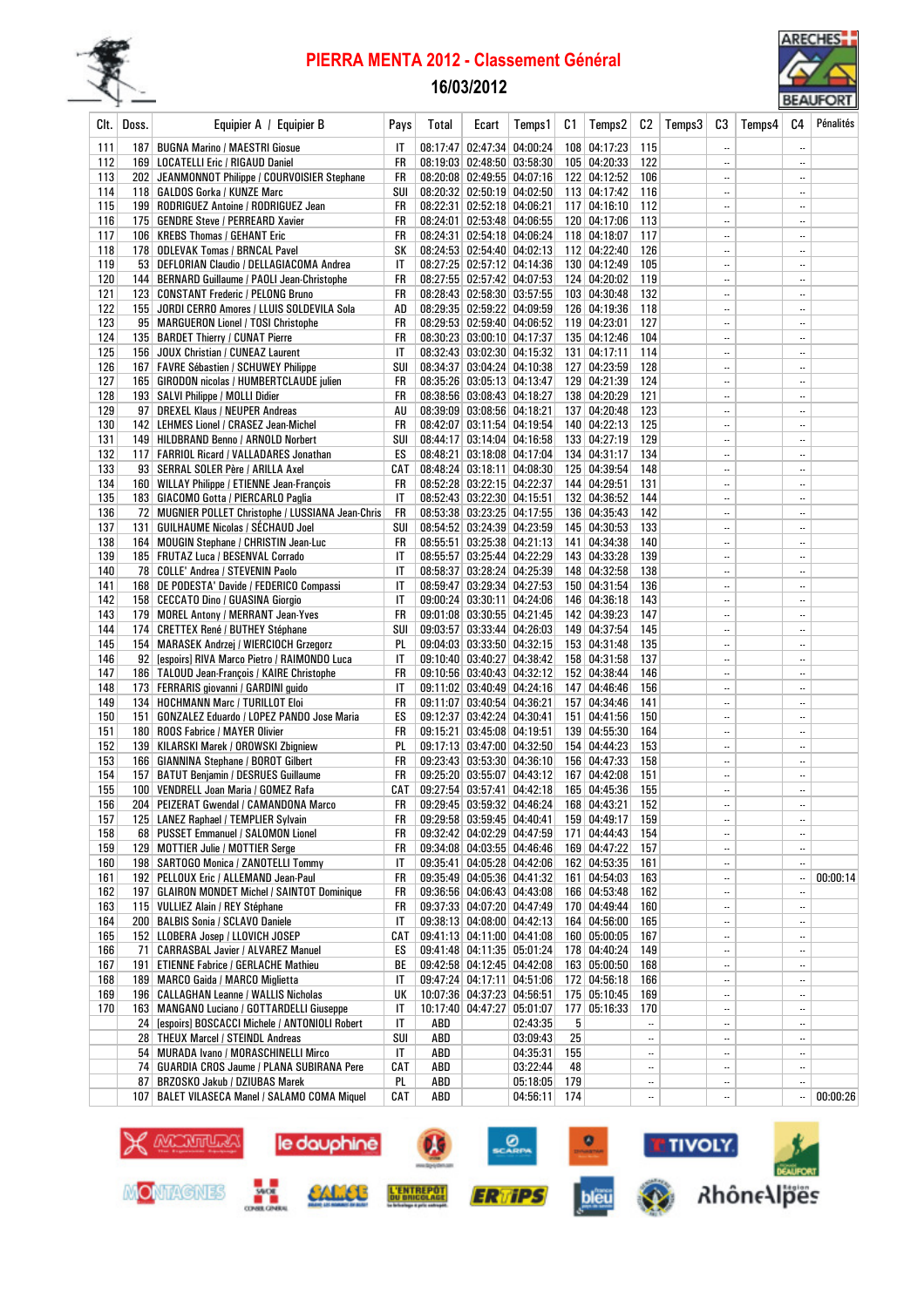

## PIERRA MENTA 2012 - Classement Général

# 16/03/2012



|            |       |                                                                                                 |                        |       |                                                          |          |     |                                |                |        |                          |        |                          | <b>DLAUTORT</b> |
|------------|-------|-------------------------------------------------------------------------------------------------|------------------------|-------|----------------------------------------------------------|----------|-----|--------------------------------|----------------|--------|--------------------------|--------|--------------------------|-----------------|
| Clt. I     | Doss. | Equipier A / Equipier B                                                                         | Pays                   | Total | Ecart                                                    | Temps 1  | C1  | Temps2                         | C <sub>2</sub> | Temps3 | C3                       | Temps4 | C4                       | Pénalités       |
|            |       |                                                                                                 |                        |       |                                                          |          |     |                                |                |        |                          |        |                          |                 |
| 111        |       | 187   BUGNA Marino / MAESTRI Giosue                                                             | IT                     |       | 08:17:47 02:47:34 04:00:24                               |          |     | 108 04:17:23                   | 115            |        |                          |        | $\ldots$                 |                 |
| 112        |       | 169   LOCATELLI Eric / RIGAUD Daniel                                                            | FR                     |       | 08:19:03 02:48:50 03:58:30                               |          |     | 105 04:20:33                   | 122            |        |                          |        | $\ddotsc$                |                 |
| 113        |       | 202 JEANMONNOT Philippe / COURVOISIER Stephane                                                  | FR                     |       | 08:20:08 02:49:55 04:07:16<br>08:20:32 02:50:19 04:02:50 |          |     | 122 04:12:52<br>113 04:17:42   | 106            |        | <br>$\ddotsc$            |        | $\ddotsc$<br>$\ddotsc$   |                 |
| 114<br>115 |       | 118   GALDOS Gorka / KUNZE Marc                                                                 | SUI                    |       | 08:22:31 02:52:18 04:06:21                               |          |     |                                | 116<br>112     |        |                          |        | $\ldots$                 |                 |
| 116        |       | 199   RODRIGUEZ Antoine / RODRIGUEZ Jean                                                        | FR<br>FR               |       | 08:24:01 02:53:48 04:06:55                               |          |     | $117$ 04:16:10<br>120 04:17:06 | 113            |        |                          |        | $\ddotsc$                |                 |
| 117        |       | 175   GENDRE Steve / PERREARD Xavier                                                            | FR                     |       | 08:24:31 02:54:18 04:06:24                               |          |     |                                | 117            |        | $\ddotsc$                |        |                          |                 |
| 118        |       | 106   KREBS Thomas / GEHANT Eric                                                                | SΚ                     |       |                                                          |          |     | 118 04:18:07<br>112 04:22:40   | 126            |        | $\ddotsc$                |        | $\ddotsc$<br>$\ddotsc$   |                 |
| 119        |       | 178 ODLEVAK Tomas / BRNCAL Pavel                                                                | IT                     |       | 08:24:53 02:54:40 04:02:13<br>08:27:25 02:57:12 04:14:36 |          |     | 130 04:12:49                   | 105            |        |                          |        |                          |                 |
| 120        |       | 53   DEFLORIAN Claudio / DELLAGIACOMA Andrea<br>144   BERNARD Guillaume / PAOLI Jean-Christophe | FR                     |       | 08:27:55 02:57:42 04:07:53                               |          |     | 124 04:20:02                   | 119            |        |                          |        |                          |                 |
| 121        |       | 123 CONSTANT Frederic / PELONG Bruno                                                            | FR                     |       | 08:28:43 02:58:30 03:57:55                               |          |     | 103 04:30:48                   | 132            |        | $\ddotsc$                |        | $\ddotsc$                |                 |
| 122        |       | 155 JORDI CERRO Amores / LLUIS SOLDEVILA Sola                                                   | AD                     |       | 08:29:35 02:59:22 04:09:59                               |          |     | 126 04:19:36                   | 118            |        |                          |        | $\ddotsc$                |                 |
| 123        |       | 95   MARGUERON Lionel / TOSI Christophe                                                         | FR                     |       | 08:29:53 02:59:40 04:06:52                               |          |     | 119 04:23:01                   | 127            |        |                          |        | $\ldots$                 |                 |
| 124        |       | 135   BARDET Thierry / CUNAT Pierre                                                             | FR                     |       | 08:30:23 03:00:10 04:17:37                               |          |     | 135 04:12:46                   | 104            |        | $\ddotsc$                |        | $\ddotsc$                |                 |
| 125        |       | 156 JOUX Christian / CUNEAZ Laurent                                                             | IT                     |       | 08:32:43 03:02:30 04:15:32                               |          |     | 131   04:17:11                 | 114            |        |                          |        | $\ddotsc$                |                 |
| 126        |       | 167   FAVRE Sébastien / SCHUWEY Philippe                                                        | SUI                    |       | 08:34:37 03:04:24 04:10:38                               |          |     | 127 04:23:59                   | 128            |        |                          |        | $\ldots$                 |                 |
| 127        |       | 165   GIRODON nicolas / HUMBERTCLAUDE julien                                                    | FR                     |       | 08:35:26 03:05:13 04:13:47                               |          |     | 129 04:21:39                   | 124            |        |                          |        |                          |                 |
| 128        |       | 193   SALVI Philippe / MOLLI Didier                                                             | FR                     |       | 08:38:56 03:08:43 04:18:27                               |          |     | 138 04:20:29                   | 121            |        | $\ddotsc$                |        | $\ddotsc$                |                 |
| 129        |       | 97 DREXEL Klaus / NEUPER Andreas                                                                | AU                     |       | 08:39:09 03:08:56 04:18:21                               |          |     | 137 04:20:48                   | 123            |        | $\ddotsc$                |        |                          |                 |
| 130        |       | 142   LEHMES Lionel / CRASEZ Jean-Michel                                                        | FR                     |       | 08:42:07 03:11:54 04:19:54                               |          |     | 140 04:22:13                   | 125            |        |                          |        | $\ddotsc$                |                 |
| 131        |       | 149 HILDBRAND Benno / ARNOLD Norbert                                                            | SUI                    |       | 08:44:17 03:14:04 04:16:58                               |          |     | 133 04:27:19                   | 129            |        |                          |        | $\ddotsc$                |                 |
| 132        |       | 117   FARRIOL Ricard / VALLADARES Jonathan                                                      | ES                     |       | 08:48:21 03:18:08 04:17:04                               |          |     | 134 04:31:17                   | 134            |        | $\overline{\phantom{a}}$ |        | $\ddotsc$                |                 |
| 133        |       | 93   SERRAL SOLER Père / ARILLA Axel                                                            | CAT                    |       | 08:48:24 03:18:11 04:08:30                               |          |     | 125 04:39:54                   | 148            |        |                          |        | $\ddotsc$                |                 |
| 134        |       | 160   WILLAY Philippe / ETIENNE Jean-François                                                   | FR                     |       | 08:52:28 03:22:15 04:22:37                               |          |     | 144 04:29:51                   | 131            |        |                          |        |                          |                 |
| 135        |       | 183   GIACOMO Gotta / PIERCARLO Paglia                                                          | IT                     |       | 08:52:43 03:22:30 04:15:51                               |          |     | 132 04:36:52                   | 144            |        | $\ddotsc$                |        | $\ddotsc$                |                 |
| 136        |       | 72 MUGNIER POLLET Christophe / LUSSIANA Jean-Chris                                              | FR                     |       | 08:53:38 03:23:25 04:17:55                               |          |     | 136 04:35:43                   | 142            |        |                          |        |                          |                 |
| 137        |       | 131   GUILHAUME Nicolas / SÉCHAUD Joel                                                          | SUI                    |       | 08:54:52 03:24:39 04:23:59                               |          |     | 145 04:30:53                   | 133            |        |                          |        | $\ddotsc$                |                 |
| 138        |       | 164   MOUGIN Stephane / CHRISTIN Jean-Luc                                                       | FR                     |       | 08:55:51 03:25:38 04:21:13                               |          |     | 141 04:34:38                   | 140            |        |                          |        | $\ldots$                 |                 |
| 139        |       | 185   FRUTAZ Luca / BESENVAL Corrado                                                            | IT                     |       | 08:55:57 03:25:44 04:22:29                               |          |     | 143 04:33:28                   | 139            |        | $\ddotsc$                |        | $\ddotsc$                |                 |
| 140        |       | 78 COLLE' Andrea / STEVENIN Paolo                                                               | IT                     |       | 08:58:37 03:28:24 04:25:39                               |          |     | 148 04:32:58                   | 138            |        |                          |        | $\ddotsc$                |                 |
| 141        |       | 168 DE PODESTA' Davide / FEDERICO Compassi                                                      | IT                     |       | 08:59:47 03:29:34 04:27:53                               |          |     | 150 04:31:54                   | 136            |        |                          |        | $\overline{\phantom{a}}$ |                 |
| 142        |       | 158   CECCATO Dino / GUASINA Giorgio                                                            | IT                     |       | 09:00:24 03:30:11 04:24:06                               |          |     | 146 04:36:18                   | 143            |        |                          |        |                          |                 |
| 143        |       | 179 MOREL Antony / MERRANT Jean-Yves                                                            | FR                     |       | 09:01:08 03:30:55 04:21:45                               |          |     | 142 04:39:23                   | 147            |        | $\ddotsc$                |        | $\ddotsc$                |                 |
| 144        |       | 174 CRETTEX René / BUTHEY Stéphane                                                              | SUI                    |       | 09:03:57 03:33:44 04:26:03                               |          |     | 149 04:37:54                   | 145            |        | $\ddotsc$                |        | $\ddotsc$                |                 |
| 145        |       | 154   MARASEK Andrzej / WIERCIOCH Grzegorz                                                      | PL                     |       | 09:04:03 03:33:50 04:32:15                               |          |     | 153 04:31:48                   | 135            |        |                          |        | $\ddotsc$                |                 |
| 146        |       | 92 [espoirs] RIVA Marco Pietro / RAIMONDO Luca                                                  | IT                     |       | 09:10:40 03:40:27 04:38:42                               |          |     | 158 04:31:58                   | 137            |        | $\ddot{\phantom{a}}$     |        | $\ddotsc$                |                 |
| 147        |       | 186   TALOUD Jean-François / KAIRE Christophe                                                   | FR                     |       | 09:10:56 03:40:43 04:32:12                               |          |     | 152 04:38:44                   | 146            |        |                          |        | $\ddotsc$                |                 |
| 148        |       | 173 FERRARIS giovanni / GARDINI guido                                                           | IT                     |       | 09:11:02 03:40:49 04:24:16                               |          |     | 147 04:46:46                   | 156            |        | $\overline{\phantom{a}}$ |        | $\ddotsc$                |                 |
| 149        |       | 134   HOCHMANN Marc / TURILLOT Eloi                                                             | FR                     |       | 09:11:07 03:40:54 04:36:21                               |          |     | 157 04:34:46                   | 141            |        |                          |        | $\ddotsc$                |                 |
| 150        |       | 151   GONZALEZ Eduardo / LOPEZ PANDO Jose Maria                                                 | ES                     |       | 09:12:37 03:42:24 04:30:41                               |          |     | 151 04:41:56                   | 150            |        | $\ddot{\phantom{0}}$     |        |                          |                 |
| 151        |       | 180   ROOS Fabrice / MAYER Olivier                                                              | FR                     |       | 09:15:21 03:45:08 04:19:51                               |          |     | 139 04:55:30                   | 164            |        | $\ddotsc$                |        | $\ddotsc$                |                 |
| 152        |       | 139 KILARSKI Marek / OROWSKI Zbigniew                                                           | PL                     |       | 09:17:13 03:47:00 04:32:50                               |          |     | 154 04:44:23                   | 153            |        |                          |        | $\ddotsc$                |                 |
| 153        |       | 166 GIANNINA Stephane / BOROT Gilbert                                                           | FR                     |       | 09:23:43 03:53:30 04:36:10                               |          |     | 156 04:47:33                   | 158            |        |                          |        | $\ddotsc$                |                 |
| 154        |       | 157 BATUT Benjamin / DESRUES Guillaume                                                          | FR                     |       | 09:25:20 03:55:07 04:43:12                               |          |     | 167 04:42:08                   | 151            |        |                          |        | $\ddotsc$                |                 |
| 155        |       | 100   VENDRELL Joan Maria / GOMEZ Rafa                                                          | CAT                    |       | 09:27:54 03:57:41 04:42:18                               |          |     | 165 04:45:36                   | 155            |        | $\ddotsc$                |        | $\ddotsc$                |                 |
| 156        |       | 204 PEIZERAT Gwendal / CAMANDONA Marco                                                          | FR                     |       | 09:29:45 03:59:32 04:46:24                               |          |     | 168 04:43:21                   | 152            |        |                          |        | $\ddotsc$                |                 |
| 157        |       | 125 LANEZ Raphael / TEMPLIER Sylvain                                                            | FR                     |       | 09:29:58 03:59:45 04:40:41                               |          |     | 159 04:49:17                   | 159            |        |                          |        | $\ddotsc$                |                 |
| 158        |       | 68 PUSSET Emmanuel / SALOMON Lionel                                                             | FR                     |       | 09:32:42 04:02:29 04:47:59                               |          |     | 171 04:44:43                   | 154            |        |                          |        | $\overline{\phantom{a}}$ |                 |
| 159        |       | 129 MOTTIER Julie / MOTTIER Serge                                                               | FR                     |       | 09:34:08 04:03:55 04:46:46                               |          |     | 169 04:47:22                   | 157            |        |                          |        | $\ddotsc$                |                 |
| 160        |       | 198   SARTOGO Monica / ZANOTELLI Tommy                                                          | IT                     |       | 09:35:41 04:05:28 04:42:06                               |          |     | 162 04:53:35                   | 161            |        |                          |        | $\ldots$                 |                 |
| 161        |       | 192 PELLOUX Eric / ALLEMAND Jean-Paul                                                           | FR                     |       | 09:35:49 04:05:36 04:41:32                               |          |     | 161 04:54:03                   | 163            |        |                          |        |                          | 00:00:14        |
| 162        |       | 197   GLAIRON MONDET Michel / SAINTOT Dominique                                                 | FR                     |       | 09:36:56 04:06:43 04:43:08                               |          |     | 166 04:53:48                   | 162            |        |                          |        | $\ddotsc$                |                 |
| 163        |       | 115 VULLIEZ Alain / REY Stéphane                                                                | FR                     |       | 09:37:33 04:07:20 04:47:49                               |          |     | 170 04:49:44                   | 160            |        |                          |        | $\ddotsc$                |                 |
| 164        |       | 200 BALBIS Sonia / SCLAVO Daniele                                                               | IT                     |       | 09:38:13 04:08:00 04:42:13                               |          |     | 164 04:56:00                   | 165            |        |                          |        | $\ddotsc$                |                 |
| 165        |       | 152 LLOBERA Josep / LLOVICH JOSEP                                                               | CAT                    |       | 09:41:13 04:11:00 04:41:08                               |          |     | 160 05:00:05                   | 167            |        |                          |        | $\ddotsc$                |                 |
| 166        |       | 71 CARRASBAL Javier / ALVAREZ Manuel                                                            | ES                     |       | 09:41:48 04:11:35 05:01:24                               |          |     | 178 04:40:24                   | 149            |        |                          |        | $\ddotsc$                |                 |
| 167        |       | 191   ETIENNE Fabrice / GERLACHE Mathieu                                                        | ВE                     |       | 09:42:58 04:12:45 04:42:08                               |          |     | 163 05:00:50                   | 168            |        |                          |        | $\ddotsc$                |                 |
| 168        |       | 189   MARCO Gaida / MARCO Miglietta                                                             | IT                     |       | 09:47:24 04:17:11 04:51:06                               |          |     | 172 04:56:18                   | 166            |        |                          |        | $\ddotsc$                |                 |
| 169        |       | 196   CALLAGHAN Leanne / WALLIS Nicholas                                                        | UК                     |       | 10:07:36 04:37:23 04:56:51                               |          |     | 175 05:10:45                   | 169            |        |                          |        | $\ddotsc$                |                 |
| 170        |       | 163 MANGANO Luciano / GOTTARDELLI Giuseppe                                                      | IT                     |       | 10:17:40 04:47:27 05:01:07                               |          |     | 177 05:16:33                   | 170            |        |                          |        | $\ddotsc$                |                 |
|            |       | 24 [espoirs] BOSCACCI Michele / ANTONIOLI Robert                                                | $\mathsf{I}\mathsf{T}$ | ABD   |                                                          | 02:43:35 | 5   |                                | $\ddotsc$      |        |                          |        | $\ddotsc$                |                 |
|            |       | 28   THEUX Marcel / STEINDL Andreas                                                             | SUI                    | ABD   |                                                          | 03:09:43 | 25  |                                |                |        |                          |        | $\ddotsc$                |                 |
|            |       | 54 MURADA Ivano / MORASCHINELLI Mirco                                                           | IT                     | ABD   |                                                          | 04:35:31 | 155 |                                |                |        |                          |        | $\ddotsc$                |                 |
|            |       | 74   GUARDIA CROS Jaume / PLANA SUBIRANA Pere                                                   | CAT                    | ABD   |                                                          | 03:22:44 | 48  |                                |                |        |                          |        | $\ddotsc$                |                 |
|            |       | 87 BRZOSKO Jakub / DZIUBAS Marek                                                                | PL                     | ABD   |                                                          | 05:18:05 | 179 |                                |                |        |                          |        | $\ddotsc$                |                 |
|            |       | 107   BALET VILASECA Manel / SALAMO COMA Miquel                                                 | CAT                    | ABD   |                                                          | 04:56:11 | 174 |                                |                |        |                          |        | $\ddotsc$                | 00:00:26        |